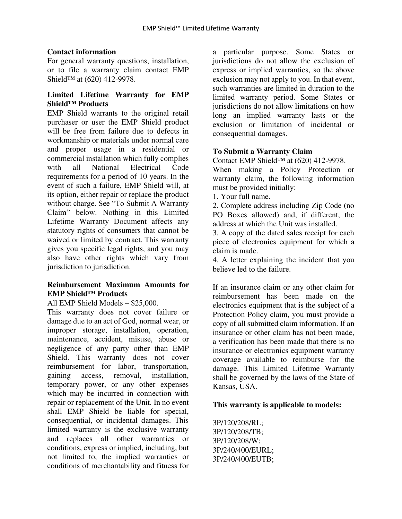## **Contact information**

For general warranty questions, installation, or to file a warranty claim contact EMP Shield<sup>™</sup> at (620) 412-9978.

# **Limited Lifetime Warranty for EMP Shield™ Products**

EMP Shield warrants to the original retail purchaser or user the EMP Shield product will be free from failure due to defects in workmanship or materials under normal care and proper usage in a residential or commercial installation which fully complies with all National Electrical Code requirements for a period of 10 years. In the event of such a failure, EMP Shield will, at its option, either repair or replace the product without charge. See "To Submit A Warranty Claim" below. Nothing in this Limited Lifetime Warranty Document affects any statutory rights of consumers that cannot be waived or limited by contract. This warranty gives you specific legal rights, and you may also have other rights which vary from jurisdiction to jurisdiction.

## **Reimbursement Maximum Amounts for EMP Shield™ Products**

All EMP Shield Models – \$25,000.

This warranty does not cover failure or damage due to an act of God, normal wear, or improper storage, installation, operation, maintenance, accident, misuse, abuse or negligence of any party other than EMP Shield. This warranty does not cover reimbursement for labor, transportation, gaining access, removal, installation, temporary power, or any other expenses which may be incurred in connection with repair or replacement of the Unit. In no event shall EMP Shield be liable for special, consequential, or incidental damages. This limited warranty is the exclusive warranty and replaces all other warranties or conditions, express or implied, including, but not limited to, the implied warranties or conditions of merchantability and fitness for

a particular purpose. Some States or jurisdictions do not allow the exclusion of express or implied warranties, so the above exclusion may not apply to you. In that event, such warranties are limited in duration to the limited warranty period. Some States or jurisdictions do not allow limitations on how long an implied warranty lasts or the exclusion or limitation of incidental or consequential damages.

# **To Submit a Warranty Claim**

Contact EMP Shield™ at (620) 412-9978.

When making a Policy Protection or warranty claim, the following information must be provided initially:

1. Your full name.

2. Complete address including Zip Code (no PO Boxes allowed) and, if different, the address at which the Unit was installed.

3. A copy of the dated sales receipt for each piece of electronics equipment for which a claim is made.

4. A letter explaining the incident that you believe led to the failure.

If an insurance claim or any other claim for reimbursement has been made on the electronics equipment that is the subject of a Protection Policy claim, you must provide a copy of all submitted claim information. If an insurance or other claim has not been made, a verification has been made that there is no insurance or electronics equipment warranty coverage available to reimburse for the damage. This Limited Lifetime Warranty shall be governed by the laws of the State of Kansas, USA.

# **This warranty is applicable to models:**

3P/120/208/RL; 3P/120/208/TB; 3P/120/208/W; 3P/240/400/EURL; 3P/240/400/EUTB;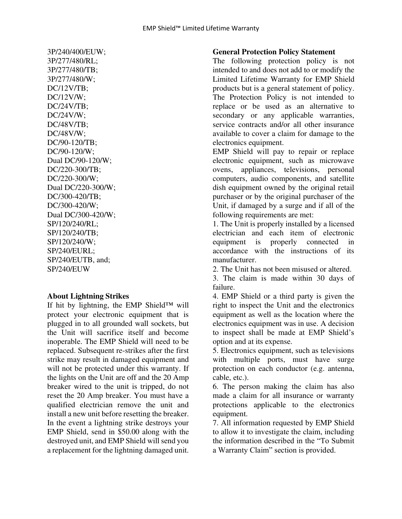3P/240/400/EUW; 3P/277/480/RL; 3P/277/480/TB; 3P/277/480/W; DC/12V/TB; DC/12V/W; DC/24V/TB; DC/24V/W; DC/48V/TB; DC/48V/W; DC/90-120/TB; DC/90-120/W; Dual DC/90-120/W; DC/220-300/TB; DC/220-300/W; Dual DC/220-300/W; DC/300-420/TB; DC/300-420/W; Dual DC/300-420/W; SP/120/240/RL; SP/120/240/TB; SP/120/240/W; SP/240/EURL; SP/240/EUTB, and; SP/240/EUW

### **About Lightning Strikes**

If hit by lightning, the EMP Shield™ will protect your electronic equipment that is plugged in to all grounded wall sockets, but the Unit will sacrifice itself and become inoperable. The EMP Shield will need to be replaced. Subsequent re-strikes after the first strike may result in damaged equipment and will not be protected under this warranty. If the lights on the Unit are off and the 20 Amp breaker wired to the unit is tripped, do not reset the 20 Amp breaker. You must have a qualified electrician remove the unit and install a new unit before resetting the breaker. In the event a lightning strike destroys your EMP Shield, send in \$50.00 along with the destroyed unit, and EMP Shield will send you a replacement for the lightning damaged unit.

#### **General Protection Policy Statement**

The following protection policy is not intended to and does not add to or modify the Limited Lifetime Warranty for EMP Shield products but is a general statement of policy. The Protection Policy is not intended to replace or be used as an alternative to secondary or any applicable warranties, service contracts and/or all other insurance available to cover a claim for damage to the electronics equipment.

EMP Shield will pay to repair or replace electronic equipment, such as microwave ovens, appliances, televisions, personal computers, audio components, and satellite dish equipment owned by the original retail purchaser or by the original purchaser of the Unit, if damaged by a surge and if all of the following requirements are met:

1. The Unit is properly installed by a licensed electrician and each item of electronic equipment is properly connected in accordance with the instructions of its manufacturer.

2. The Unit has not been misused or altered.

3. The claim is made within 30 days of failure.

4. EMP Shield or a third party is given the right to inspect the Unit and the electronics equipment as well as the location where the electronics equipment was in use. A decision to inspect shall be made at EMP Shield's option and at its expense.

5. Electronics equipment, such as televisions with multiple ports, must have surge protection on each conductor (e.g. antenna, cable, etc.).

6. The person making the claim has also made a claim for all insurance or warranty protections applicable to the electronics equipment.

7. All information requested by EMP Shield to allow it to investigate the claim, including the information described in the "To Submit a Warranty Claim" section is provided.